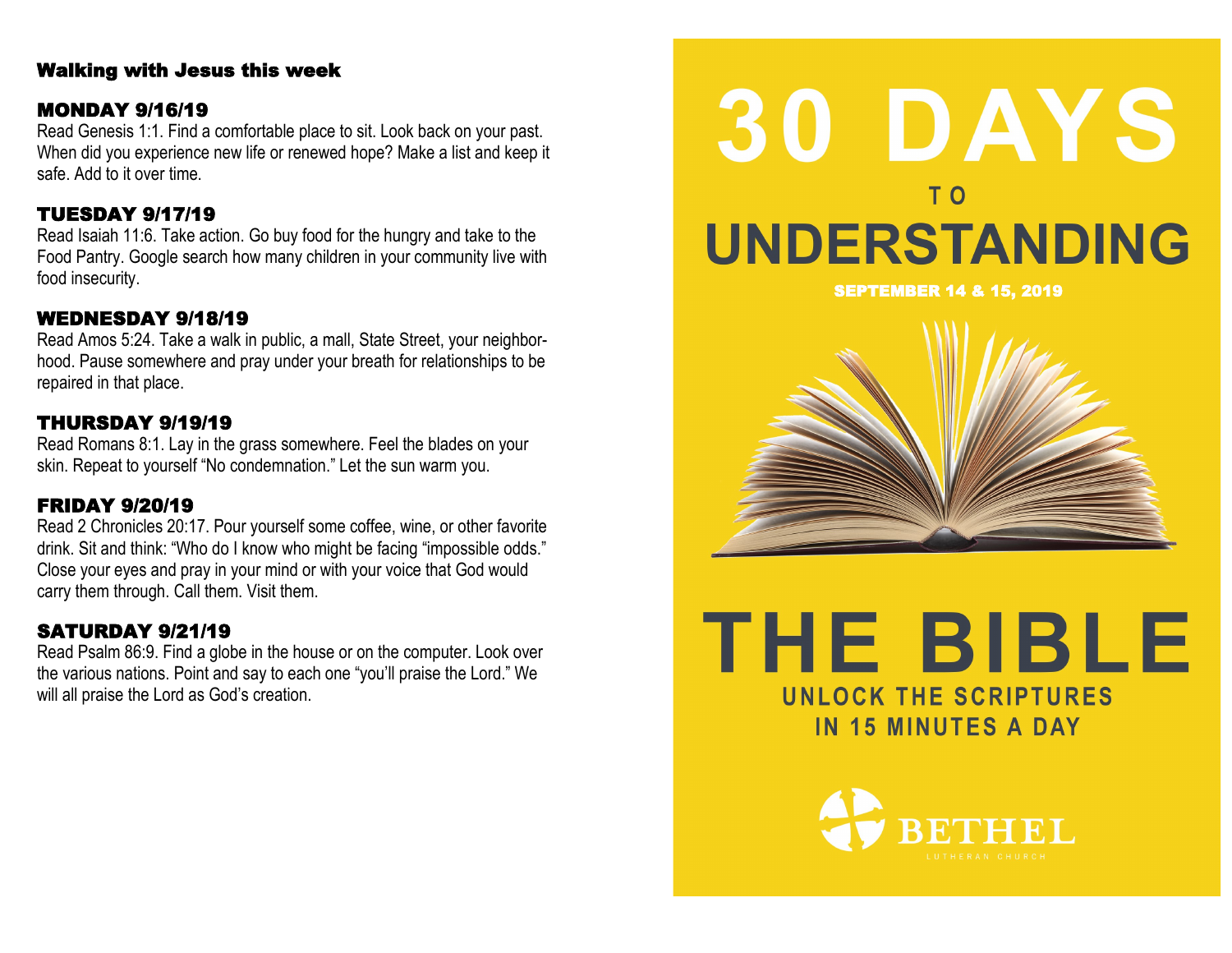## Walking with Jesus this week

#### MONDAY 9/16/19

Read Genesis 1:1. Find a comfortable place to sit. Look back on your past. When did you experience new life or renewed hope? Make a list and keep it safe. Add to it over time.

# TUESDAY 9/17/19

Read Isaiah 11:6. Take action. Go buy food for the hungry and take to the Food Pantry. Google search how many children in your community live with food insecurity.

# WEDNESDAY 9/18/19

Read Amos 5:24. Take a walk in public, a mall, State Street, your neighborhood. Pause somewhere and pray under your breath for relationships to be repaired in that place.

# THURSDAY 9/19/19

Read Romans 8:1. Lay in the grass somewhere. Feel the blades on your skin. Repeat to yourself "No condemnation." Let the sun warm you.

# FRIDAY 9/20/19

Read 2 Chronicles 20:17. Pour yourself some coffee, wine, or other favorite drink. Sit and think: "Who do I know who might be facing "impossible odds." Close your eyes and pray in your mind or with your voice that God would carry them through. Call them. Visit them.

# SATURDAY 9/21/19

Read Psalm 86:9. Find a globe in the house or on the computer. Look over the various nations. Point and say to each one "you'll praise the Lord." We will all praise the Lord as God's creation.